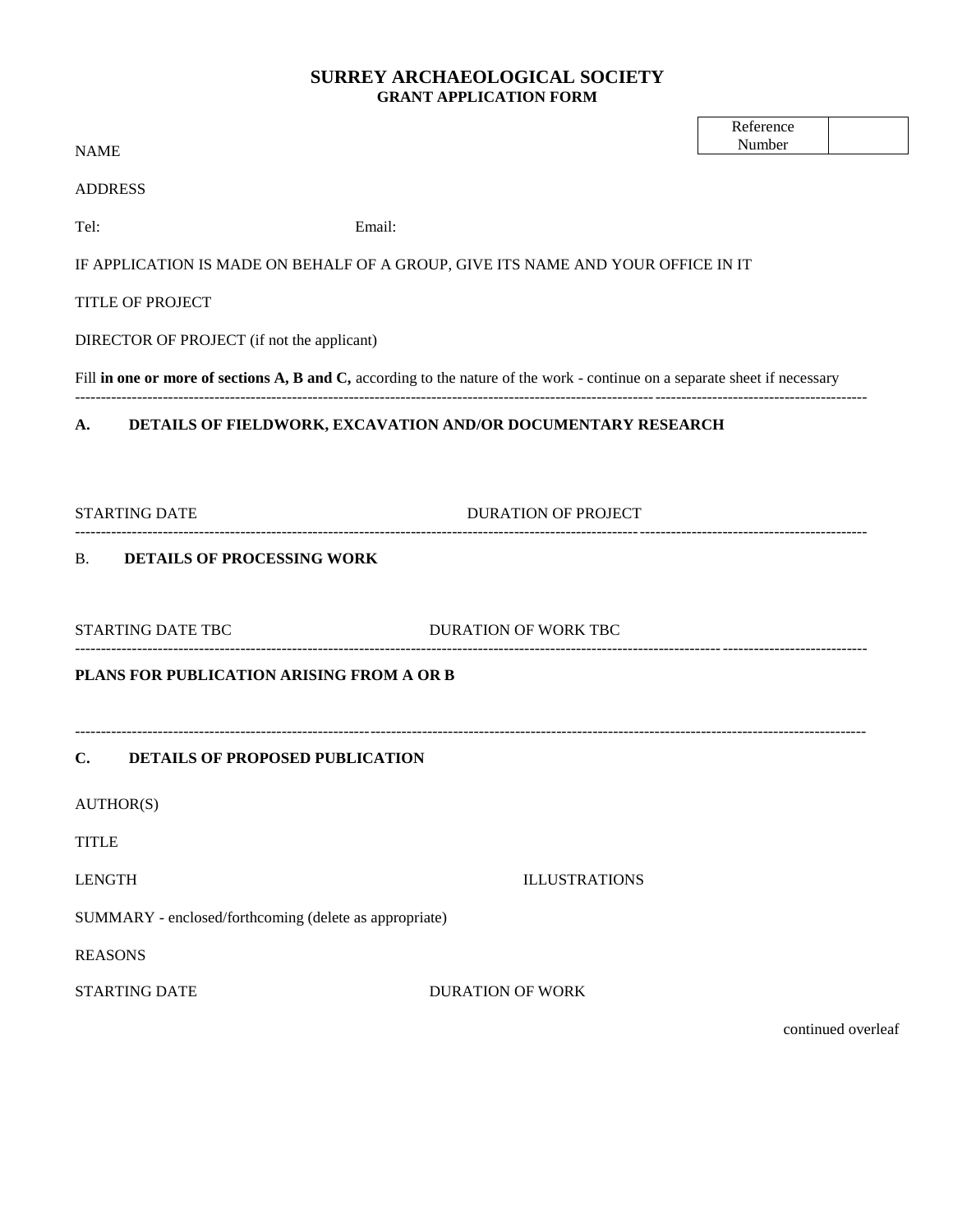## **SURREY ARCHAEOLOGICAL SOCIETY GRANT APPLICATION FORM**

| <b>NAME</b>                                                                                                                 |                            | Reference<br>Number |  |  |  |
|-----------------------------------------------------------------------------------------------------------------------------|----------------------------|---------------------|--|--|--|
|                                                                                                                             |                            |                     |  |  |  |
| <b>ADDRESS</b>                                                                                                              |                            |                     |  |  |  |
| Tel:<br>Email:                                                                                                              |                            |                     |  |  |  |
| IF APPLICATION IS MADE ON BEHALF OF A GROUP, GIVE ITS NAME AND YOUR OFFICE IN IT                                            |                            |                     |  |  |  |
| <b>TITLE OF PROJECT</b>                                                                                                     |                            |                     |  |  |  |
| DIRECTOR OF PROJECT (if not the applicant)                                                                                  |                            |                     |  |  |  |
| Fill in one or more of sections A, B and C, according to the nature of the work - continue on a separate sheet if necessary |                            |                     |  |  |  |
| A. DETAILS OF FIELDWORK, EXCAVATION AND/OR DOCUMENTARY RESEARCH                                                             |                            |                     |  |  |  |
|                                                                                                                             |                            |                     |  |  |  |
| <b>STARTING DATE</b>                                                                                                        | <b>DURATION OF PROJECT</b> |                     |  |  |  |
| <b>B. DETAILS OF PROCESSING WORK</b>                                                                                        |                            |                     |  |  |  |
| STARTING DATE TBC                                                                                                           | DURATION OF WORK TBC       |                     |  |  |  |
| PLANS FOR PUBLICATION ARISING FROM A OR B                                                                                   |                            |                     |  |  |  |
|                                                                                                                             |                            |                     |  |  |  |
| C. DETAILS OF PROPOSED PUBLICATION                                                                                          |                            |                     |  |  |  |
| AUTHOR(S)                                                                                                                   |                            |                     |  |  |  |
| <b>TITLE</b>                                                                                                                |                            |                     |  |  |  |
| LENGTH<br><b>ILLUSTRATIONS</b>                                                                                              |                            |                     |  |  |  |
| SUMMARY - enclosed/forthcoming (delete as appropriate)                                                                      |                            |                     |  |  |  |
| <b>REASONS</b>                                                                                                              |                            |                     |  |  |  |
| <b>STARTING DATE</b>                                                                                                        | <b>DURATION OF WORK</b>    |                     |  |  |  |
|                                                                                                                             |                            |                     |  |  |  |

continued overleaf